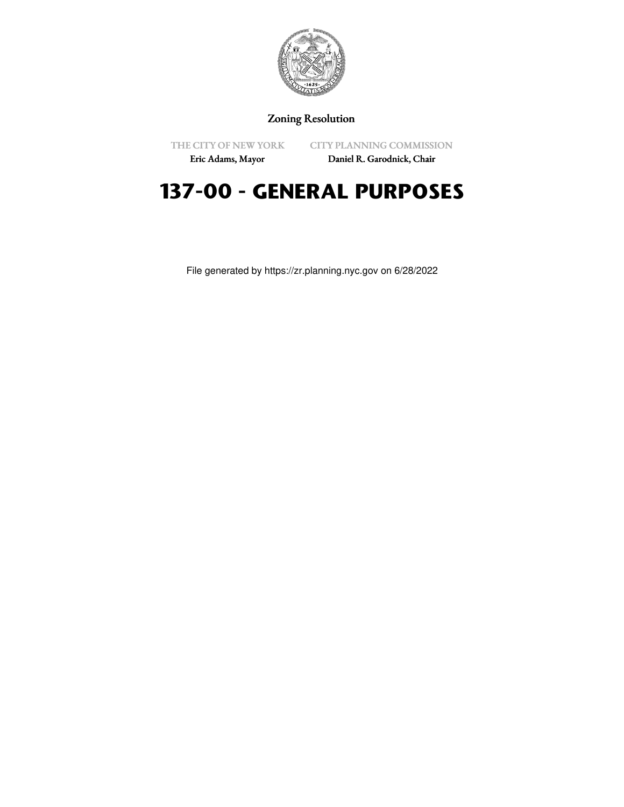

## Zoning Resolution

THE CITY OF NEW YORK Eric Adams, Mayor

CITY PLANNING COMMISSION

Daniel R. Garodnick, Chair

## **137-00 - GENERAL PURPOSES**

File generated by https://zr.planning.nyc.gov on 6/28/2022